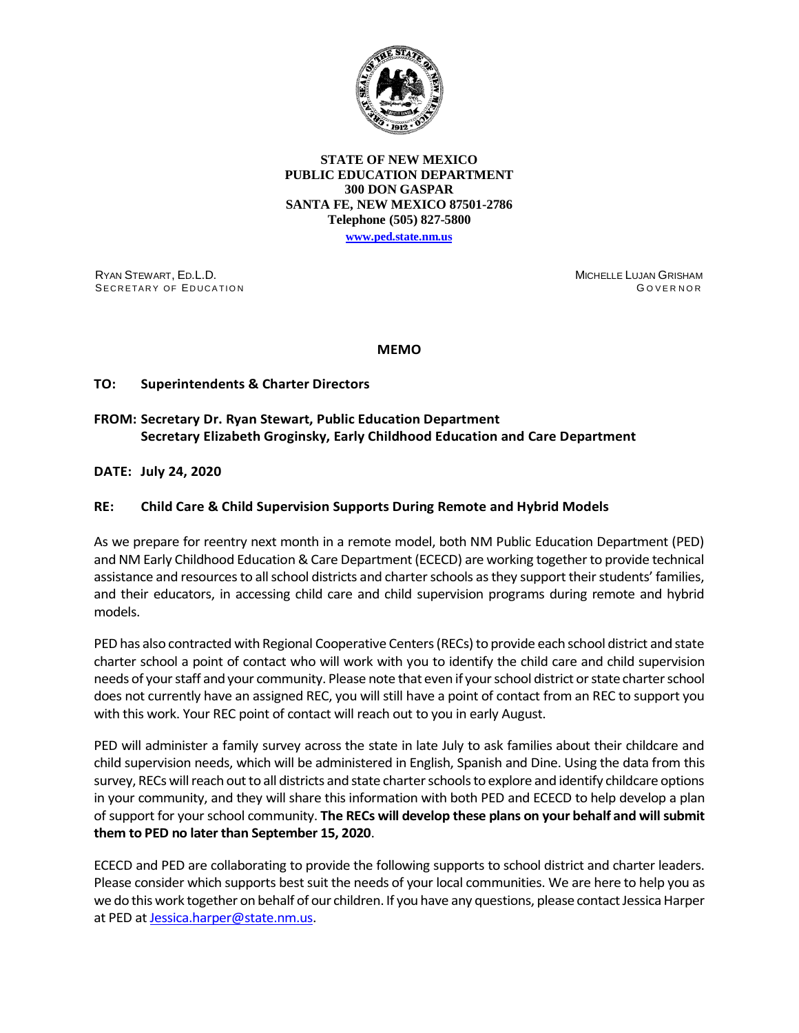

## **STATE OF NEW MEXICO PUBLIC EDUCATION DEPARTMENT 300 DON GASPAR SANTA FE, NEW MEXICO 87501-2786 Telephone (505) 827-5800**

**[www.ped.state.nm.us](http://webnew.ped.state.nm.us/)**

RYAN STEWART, ED.L.D. SECRETARY OF EDUCATION MICHELLE LUJAN GRISHAM G OVERNOR

**MEMO**

## **TO: Superintendents & Charter Directors**

## **FROM: Secretary Dr. Ryan Stewart, Public Education Department Secretary Elizabeth Groginsky, Early Childhood Education and Care Department**

**DATE: July 24, 2020** 

## **RE: Child Care & Child Supervision Supports During Remote and Hybrid Models**

As we prepare for reentry next month in a remote model, both NM Public Education Department (PED) and NM Early Childhood Education & Care Department (ECECD) are working together to provide technical assistance and resources to all school districts and charter schools as they support their students' families, and their educators, in accessing child care and child supervision programs during remote and hybrid models.

PED has also contracted with Regional Cooperative Centers (RECs) to provide each school district and state charter school a point of contact who will work with you to identify the child care and child supervision needs of your staff and your community. Please note that even if your school district or state charter school does not currently have an assigned REC, you will still have a point of contact from an REC to support you with this work. Your REC point of contact will reach out to you in early August.

PED will administer a family survey across the state in late July to ask families about their childcare and child supervision needs, which will be administered in English, Spanish and Dine. Using the data from this survey, RECs will reach out to all districts and state charter schools to explore and identify childcare options in your community, and they will share this information with both PED and ECECD to help develop a plan of support for your school community. **The RECs will develop these plans on your behalf and will submit them to PED no later than September 15, 2020**.

ECECD and PED are collaborating to provide the following supports to school district and charter leaders. Please consider which supports best suit the needs of your local communities. We are here to help you as we do this work together on behalf of our children. If you have any questions, please contact Jessica Harper at PED at [Jessica.harper@state.nm.us.](mailto:Jessica.harper@state.nm.us)